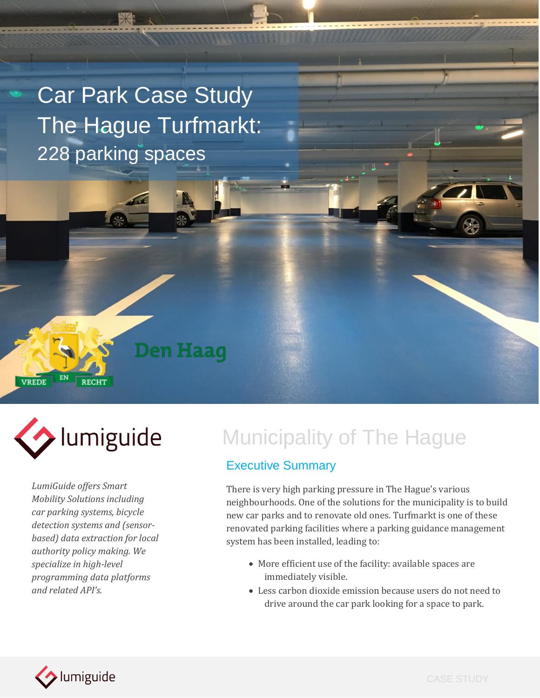Car Park Case Study The Hague Turfmarkt: 228 parking spaces

**Den Haag** 



**RECHT** 

EN

**VREDE** 

*LumiGuide offers Smart Mobility Solutions including car parking systems, bicycle detection systems and (sensorbased) data extraction for local authority policy making. We specialize in high-level programming data platforms and related API's.*

# lumiguide Municipality of The Hague

#### Executive Summary

There is very high parking pressure in The Hague's various neighbourhoods. One of the solutions for the municipality is to build new car parks and to renovate old ones. Turfmarkt is one of these renovated parking facilities where a parking guidance management system has been installed, leading to:

- More efficient use of the facility: available spaces are immediately visible.
- Less carbon dioxide emission because users do not need to drive around the car park looking for a space to park.